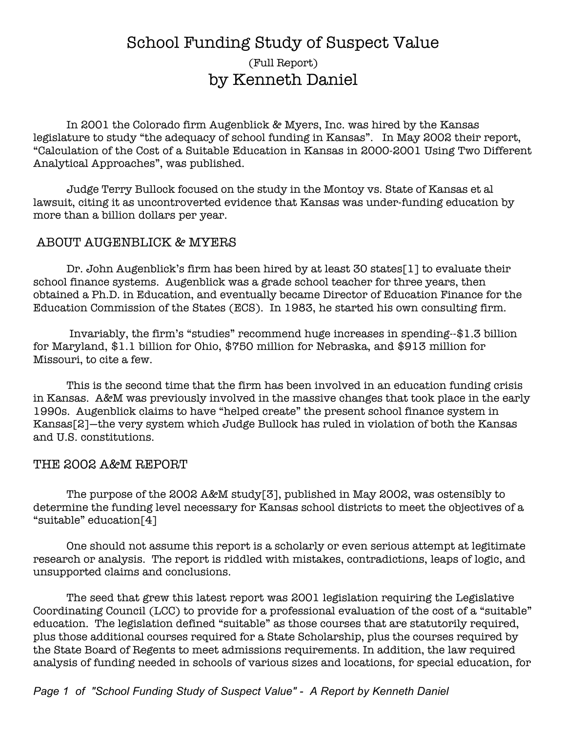# School Funding Study of Suspect Value (Full Report) by Kenneth Daniel

In 2001 the Colorado firm Augenblick & Myers, Inc. was hired by the Kansas legislature to study "the adequacy of school funding in Kansas". In May 2002 their report, "Calculation of the Cost of a Suitable Education in Kansas in 2000-2001 Using Two Different Analytical Approaches", was published.

Judge Terry Bullock focused on the study in the Montoy vs. State of Kansas et al lawsuit, citing it as uncontroverted evidence that Kansas was under-funding education by more than a billion dollars per year.

#### ABOUT AUGENBLICK & MYERS

Dr. John Augenblick's firm has been hired by at least 30 states[1] to evaluate their school finance systems. Augenblick was a grade school teacher for three years, then obtained a Ph.D. in Education, and eventually became Director of Education Finance for the Education Commission of the States (ECS). In 1983, he started his own consulting firm.

Invariably, the firm's "studies" recommend huge increases in spending--\$1.3 billion for Maryland, \$1.1 billion for Ohio, \$750 million for Nebraska, and \$913 million for Missouri, to cite a few.

This is the second time that the firm has been involved in an education funding crisis in Kansas. A&M was previously involved in the massive changes that took place in the early 1990s. Augenblick claims to have "helped create" the present school finance system in Kansas[2]—the very system which Judge Bullock has ruled in violation of both the Kansas and U.S. constitutions.

#### THE 2002 A&M REPORT

The purpose of the 2002 A&M study[3], published in May 2002, was ostensibly to determine the funding level necessary for Kansas school districts to meet the objectives of a "suitable" education[4]

One should not assume this report is a scholarly or even serious attempt at legitimate research or analysis. The report is riddled with mistakes, contradictions, leaps of logic, and unsupported claims and conclusions.

The seed that grew this latest report was 2001 legislation requiring the Legislative Coordinating Council (LCC) to provide for a professional evaluation of the cost of a "suitable" education. The legislation defined "suitable" as those courses that are statutorily required, plus those additional courses required for a State Scholarship, plus the courses required by the State Board of Regents to meet admissions requirements. In addition, the law required analysis of funding needed in schools of various sizes and locations, for special education, for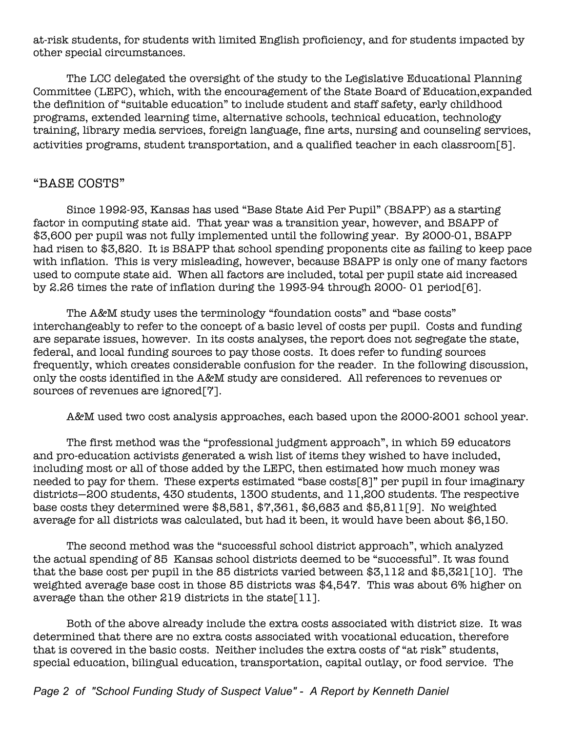at-risk students, for students with limited English proficiency, and for students impacted by other special circumstances.

The LCC delegated the oversight of the study to the Legislative Educational Planning Committee (LEPC), which, with the encouragement of the State Board of Education,expanded the definition of "suitable education" to include student and staff safety, early childhood programs, extended learning time, alternative schools, technical education, technology training, library media services, foreign language, fine arts, nursing and counseling services, activities programs, student transportation, and a qualified teacher in each classroom[5].

# "BASE COSTS"

Since 1992-93, Kansas has used "Base State Aid Per Pupil" (BSAPP) as a starting factor in computing state aid. That year was a transition year, however, and BSAPP of \$3,600 per pupil was not fully implemented until the following year. By 2000-01, BSAPP had risen to \$3,820. It is BSAPP that school spending proponents cite as failing to keep pace with inflation. This is very misleading, however, because BSAPP is only one of many factors used to compute state aid. When all factors are included, total per pupil state aid increased by 2.26 times the rate of inflation during the 1993-94 through 2000- 01 period[6].

The A&M study uses the terminology "foundation costs" and "base costs" interchangeably to refer to the concept of a basic level of costs per pupil. Costs and funding are separate issues, however. In its costs analyses, the report does not segregate the state, federal, and local funding sources to pay those costs. It does refer to funding sources frequently, which creates considerable confusion for the reader. In the following discussion, only the costs identified in the A&M study are considered. All references to revenues or sources of revenues are ignored[7].

A&M used two cost analysis approaches, each based upon the 2000-2001 school year.

The first method was the "professional judgment approach", in which 59 educators and pro-education activists generated a wish list of items they wished to have included, including most or all of those added by the LEPC, then estimated how much money was needed to pay for them. These experts estimated "base costs[8]" per pupil in four imaginary districts—200 students, 430 students, 1300 students, and 11,200 students. The respective base costs they determined were \$8,581, \$7,361, \$6,683 and \$5,811[9]. No weighted average for all districts was calculated, but had it been, it would have been about \$6,150.

The second method was the "successful school district approach", which analyzed the actual spending of 85 Kansas school districts deemed to be "successful". It was found that the base cost per pupil in the 85 districts varied between \$3,112 and \$5,321[10]. The weighted average base cost in those 85 districts was \$4,547. This was about 6% higher on average than the other 219 districts in the state[11].

Both of the above already include the extra costs associated with district size. It was determined that there are no extra costs associated with vocational education, therefore that is covered in the basic costs. Neither includes the extra costs of "at risk" students, special education, bilingual education, transportation, capital outlay, or food service. The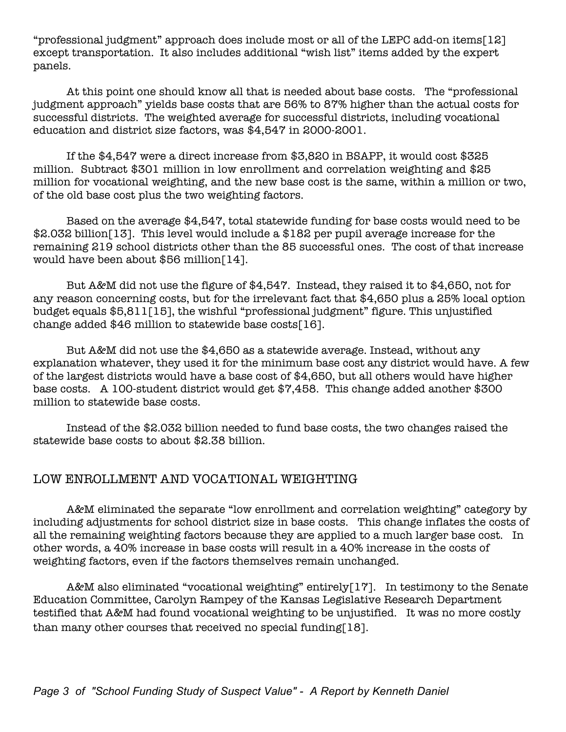"professional judgment" approach does include most or all of the LEPC add-on items[12] except transportation. It also includes additional "wish list" items added by the expert panels.

At this point one should know all that is needed about base costs. The "professional judgment approach" yields base costs that are 56% to 87% higher than the actual costs for successful districts. The weighted average for successful districts, including vocational education and district size factors, was \$4,547 in 2000-2001.

If the \$4,547 were a direct increase from \$3,820 in BSAPP, it would cost \$325 million. Subtract \$301 million in low enrollment and correlation weighting and \$25 million for vocational weighting, and the new base cost is the same, within a million or two, of the old base cost plus the two weighting factors.

Based on the average \$4,547, total statewide funding for base costs would need to be \$2.032 billion[13]. This level would include a \$182 per pupil average increase for the remaining 219 school districts other than the 85 successful ones. The cost of that increase would have been about \$56 million[14].

But A&M did not use the figure of \$4,547. Instead, they raised it to \$4,650, not for any reason concerning costs, but for the irrelevant fact that \$4,650 plus a 25% local option budget equals \$5,811[15], the wishful "professional judgment" figure. This unjustified change added \$46 million to statewide base costs[16].

But A&M did not use the \$4,650 as a statewide average. Instead, without any explanation whatever, they used it for the minimum base cost any district would have. A few of the largest districts would have a base cost of \$4,650, but all others would have higher base costs. A 100-student district would get \$7,458. This change added another \$300 million to statewide base costs.

Instead of the \$2.032 billion needed to fund base costs, the two changes raised the statewide base costs to about \$2.38 billion.

# LOW ENROLLMENT AND VOCATIONAL WEIGHTING

A&M eliminated the separate "low enrollment and correlation weighting" category by including adjustments for school district size in base costs. This change inflates the costs of all the remaining weighting factors because they are applied to a much larger base cost. In other words, a 40% increase in base costs will result in a 40% increase in the costs of weighting factors, even if the factors themselves remain unchanged.

A&M also eliminated "vocational weighting" entirely[17]. In testimony to the Senate Education Committee, Carolyn Rampey of the Kansas Legislative Research Department testified that A&M had found vocational weighting to be unjustified. It was no more costly than many other courses that received no special funding[18].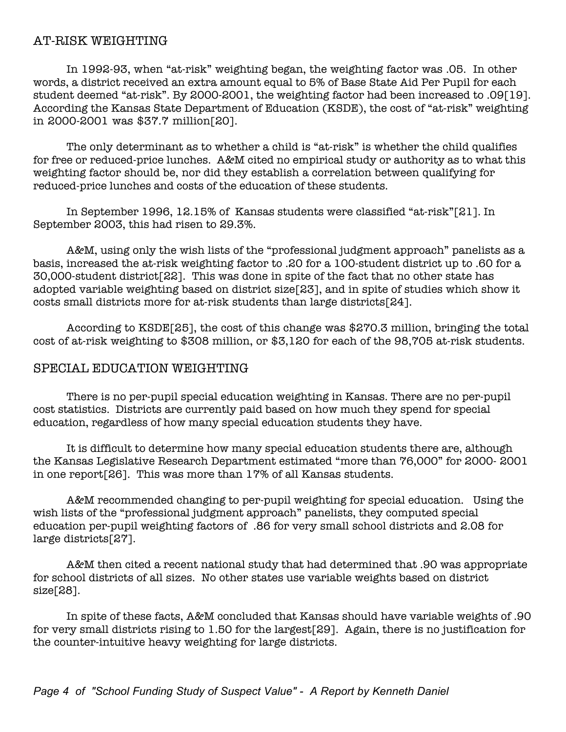## AT-RISK WEIGHTING

In 1992-93, when "at-risk" weighting began, the weighting factor was .05. In other words, a district received an extra amount equal to 5% of Base State Aid Per Pupil for each student deemed "at-risk". By 2000-2001, the weighting factor had been increased to .09[19]. According the Kansas State Department of Education (KSDE), the cost of "at-risk" weighting in 2000-2001 was \$37.7 million[20].

The only determinant as to whether a child is "at-risk" is whether the child qualifies for free or reduced-price lunches. A&M cited no empirical study or authority as to what this weighting factor should be, nor did they establish a correlation between qualifying for reduced-price lunches and costs of the education of these students.

In September 1996, 12.15% of Kansas students were classified "at-risk"[21]. In September 2003, this had risen to 29.3%.

A&M, using only the wish lists of the "professional judgment approach" panelists as a basis, increased the at-risk weighting factor to .20 for a 100-student district up to .60 for a 30,000-student district[22]. This was done in spite of the fact that no other state has adopted variable weighting based on district size[23], and in spite of studies which show it costs small districts more for at-risk students than large districts[24].

According to KSDE[25], the cost of this change was \$270.3 million, bringing the total cost of at-risk weighting to \$308 million, or \$3,120 for each of the 98,705 at-risk students.

#### SPECIAL EDUCATION WEIGHTING

There is no per-pupil special education weighting in Kansas. There are no per-pupil cost statistics. Districts are currently paid based on how much they spend for special education, regardless of how many special education students they have.

It is difficult to determine how many special education students there are, although the Kansas Legislative Research Department estimated "more than 76,000" for 2000- 2001 in one report[26]. This was more than 17% of all Kansas students.

A&M recommended changing to per-pupil weighting for special education. Using the wish lists of the "professional judgment approach" panelists, they computed special education per-pupil weighting factors of .86 for very small school districts and 2.08 for large districts[27].

A&M then cited a recent national study that had determined that .90 was appropriate for school districts of all sizes. No other states use variable weights based on district size[28].

In spite of these facts, A&M concluded that Kansas should have variable weights of .90 for very small districts rising to 1.50 for the largest[29]. Again, there is no justification for the counter-intuitive heavy weighting for large districts.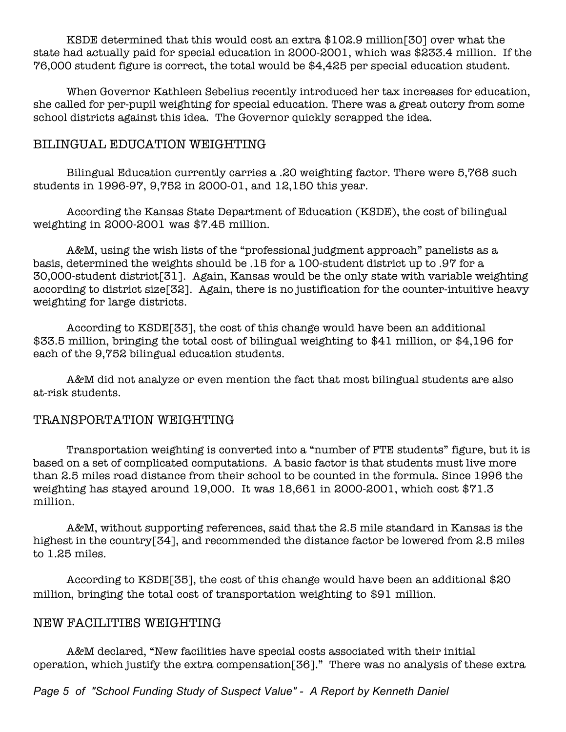KSDE determined that this would cost an extra \$102.9 million[30] over what the state had actually paid for special education in 2000-2001, which was \$233.4 million. If the 76,000 student figure is correct, the total would be \$4,425 per special education student.

When Governor Kathleen Sebelius recently introduced her tax increases for education, she called for per-pupil weighting for special education. There was a great outcry from some school districts against this idea. The Governor quickly scrapped the idea.

# BILINGUAL EDUCATION WEIGHTING

Bilingual Education currently carries a .20 weighting factor. There were 5,768 such students in 1996-97, 9,752 in 2000-01, and 12,150 this year.

According the Kansas State Department of Education (KSDE), the cost of bilingual weighting in 2000-2001 was \$7.45 million.

A&M, using the wish lists of the "professional judgment approach" panelists as a basis, determined the weights should be .15 for a 100-student district up to .97 for a 30,000-student district[31]. Again, Kansas would be the only state with variable weighting according to district size[32]. Again, there is no justification for the counter-intuitive heavy weighting for large districts.

 According to KSDE[33], the cost of this change would have been an additional \$33.5 million, bringing the total cost of bilingual weighting to \$41 million, or \$4,196 for each of the 9,752 bilingual education students.

A&M did not analyze or even mention the fact that most bilingual students are also at-risk students.

# TRANSPORTATION WEIGHTING

Transportation weighting is converted into a "number of FTE students" figure, but it is based on a set of complicated computations. A basic factor is that students must live more than 2.5 miles road distance from their school to be counted in the formula. Since 1996 the weighting has stayed around 19,000. It was 18,661 in 2000-2001, which cost \$71.3 million.

A&M, without supporting references, said that the 2.5 mile standard in Kansas is the highest in the country[34], and recommended the distance factor be lowered from 2.5 miles to 1.25 miles.

According to KSDE[35], the cost of this change would have been an additional \$20 million, bringing the total cost of transportation weighting to \$91 million.

#### NEW FACILITIES WEIGHTING

A&M declared, "New facilities have special costs associated with their initial operation, which justify the extra compensation[36]." There was no analysis of these extra

*Page 5 of "School Funding Study of Suspect Value" - A Report by Kenneth Daniel*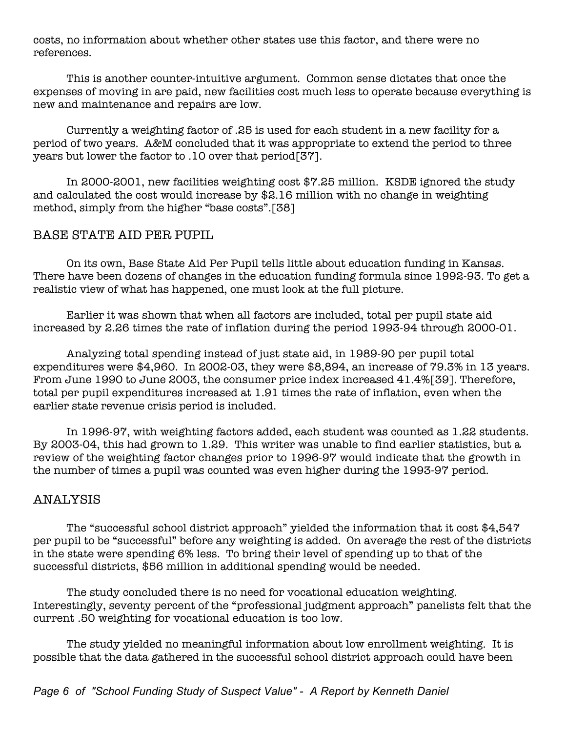costs, no information about whether other states use this factor, and there were no references.

This is another counter-intuitive argument. Common sense dictates that once the expenses of moving in are paid, new facilities cost much less to operate because everything is new and maintenance and repairs are low.

Currently a weighting factor of .25 is used for each student in a new facility for a period of two years. A&M concluded that it was appropriate to extend the period to three years but lower the factor to .10 over that period[37].

In 2000-2001, new facilities weighting cost \$7.25 million. KSDE ignored the study and calculated the cost would increase by \$2.16 million with no change in weighting method, simply from the higher "base costs".[38]

#### BASE STATE AID PER PUPIL.

On its own, Base State Aid Per Pupil tells little about education funding in Kansas. There have been dozens of changes in the education funding formula since 1992-93. To get a realistic view of what has happened, one must look at the full picture.

Earlier it was shown that when all factors are included, total per pupil state aid increased by 2.26 times the rate of inflation during the period 1993-94 through 2000-01.

Analyzing total spending instead of just state aid, in 1989-90 per pupil total expenditures were \$4,960. In 2002-03, they were \$8,894, an increase of 79.3% in 13 years. From June 1990 to June 2003, the consumer price index increased 41.4%[39]. Therefore, total per pupil expenditures increased at 1.91 times the rate of inflation, even when the earlier state revenue crisis period is included.

In 1996-97, with weighting factors added, each student was counted as 1.22 students. By 2003-04, this had grown to 1.29. This writer was unable to find earlier statistics, but a review of the weighting factor changes prior to 1996-97 would indicate that the growth in the number of times a pupil was counted was even higher during the 1993-97 period.

#### ANALYSIS

The "successful school district approach" yielded the information that it cost \$4,547 per pupil to be "successful" before any weighting is added. On average the rest of the districts in the state were spending 6% less. To bring their level of spending up to that of the successful districts, \$56 million in additional spending would be needed.

The study concluded there is no need for vocational education weighting. Interestingly, seventy percent of the "professional judgment approach" panelists felt that the current .50 weighting for vocational education is too low.

The study yielded no meaningful information about low enrollment weighting. It is possible that the data gathered in the successful school district approach could have been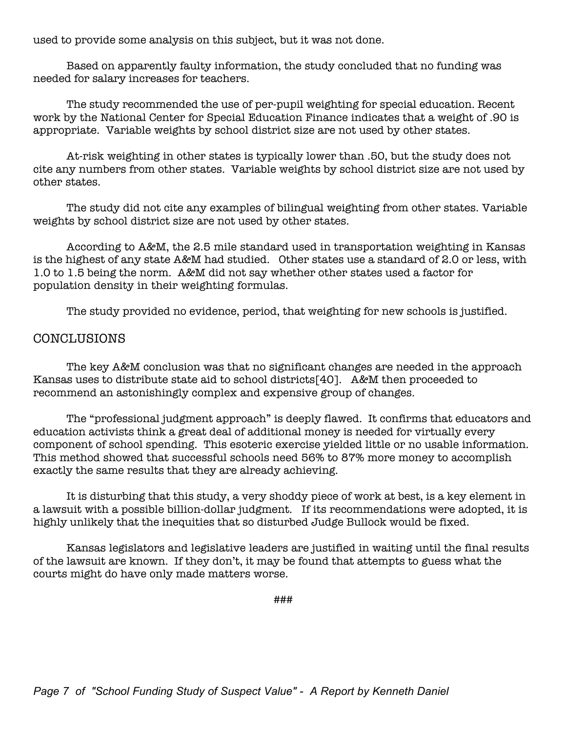used to provide some analysis on this subject, but it was not done.

Based on apparently faulty information, the study concluded that no funding was needed for salary increases for teachers.

The study recommended the use of per-pupil weighting for special education. Recent work by the National Center for Special Education Finance indicates that a weight of .90 is appropriate. Variable weights by school district size are not used by other states.

At-risk weighting in other states is typically lower than .50, but the study does not cite any numbers from other states. Variable weights by school district size are not used by other states.

The study did not cite any examples of bilingual weighting from other states. Variable weights by school district size are not used by other states.

According to A&M, the 2.5 mile standard used in transportation weighting in Kansas is the highest of any state A&M had studied. Other states use a standard of 2.0 or less, with 1.0 to 1.5 being the norm. A&M did not say whether other states used a factor for population density in their weighting formulas.

The study provided no evidence, period, that weighting for new schools is justified.

#### CONCLUSIONS

The key A&M conclusion was that no significant changes are needed in the approach Kansas uses to distribute state aid to school districts[40]. A&M then proceeded to recommend an astonishingly complex and expensive group of changes.

The "professional judgment approach" is deeply flawed. It confirms that educators and education activists think a great deal of additional money is needed for virtually every component of school spending. This esoteric exercise yielded little or no usable information. This method showed that successful schools need 56% to 87% more money to accomplish exactly the same results that they are already achieving.

It is disturbing that this study, a very shoddy piece of work at best, is a key element in a lawsuit with a possible billion-dollar judgment. If its recommendations were adopted, it is highly unlikely that the inequities that so disturbed Judge Bullock would be fixed.

Kansas legislators and legislative leaders are justified in waiting until the final results of the lawsuit are known. If they don't, it may be found that attempts to guess what the courts might do have only made matters worse.

###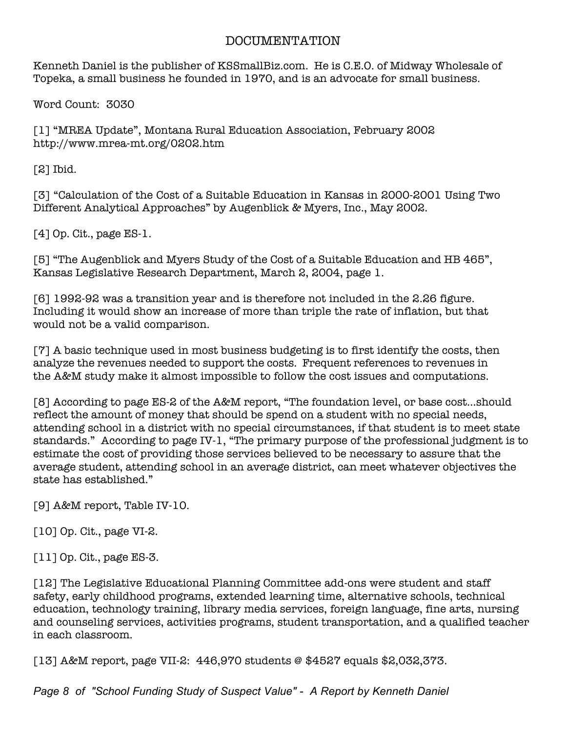# DOCUMENTATION

Kenneth Daniel is the publisher of KSSmallBiz.com. He is C.E.O. of Midway Wholesale of Topeka, a small business he founded in 1970, and is an advocate for small business.

Word Count: 3030

[1] "MREA Update", Montana Rural Education Association, February 2002 http://www.mrea-mt.org/0202.htm

[2] Ibid.

[3] "Calculation of the Cost of a Suitable Education in Kansas in 2000-2001 Using Two Different Analytical Approaches" by Augenblick & Myers, Inc., May 2002.

[4] Op. Cit., page ES-1.

[5] "The Augenblick and Myers Study of the Cost of a Suitable Education and HB 465", Kansas Legislative Research Department, March 2, 2004, page 1.

[6] 1992-92 was a transition year and is therefore not included in the 2.26 figure. Including it would show an increase of more than triple the rate of inflation, but that would not be a valid comparison.

[7] A basic technique used in most business budgeting is to first identify the costs, then analyze the revenues needed to support the costs. Frequent references to revenues in the A&M study make it almost impossible to follow the cost issues and computations.

[8] According to page ES-2 of the A&M report, "The foundation level, or base cost...should reflect the amount of money that should be spend on a student with no special needs, attending school in a district with no special circumstances, if that student is to meet state standards." According to page IV-1, "The primary purpose of the professional judgment is to estimate the cost of providing those services believed to be necessary to assure that the average student, attending school in an average district, can meet whatever objectives the state has established."

[9] A&M report, Table IV-10.

[10] Op. Cit., page VI-2.

[11] Op. Cit., page ES-3.

[12] The Legislative Educational Planning Committee add-ons were student and staff safety, early childhood programs, extended learning time, alternative schools, technical education, technology training, library media services, foreign language, fine arts, nursing and counseling services, activities programs, student transportation, and a qualified teacher in each classroom.

[13] A&M report, page VII-2: 446,970 students @ \$4527 equals \$2,032,373.

*Page 8 of "School Funding Study of Suspect Value" - A Report by Kenneth Daniel*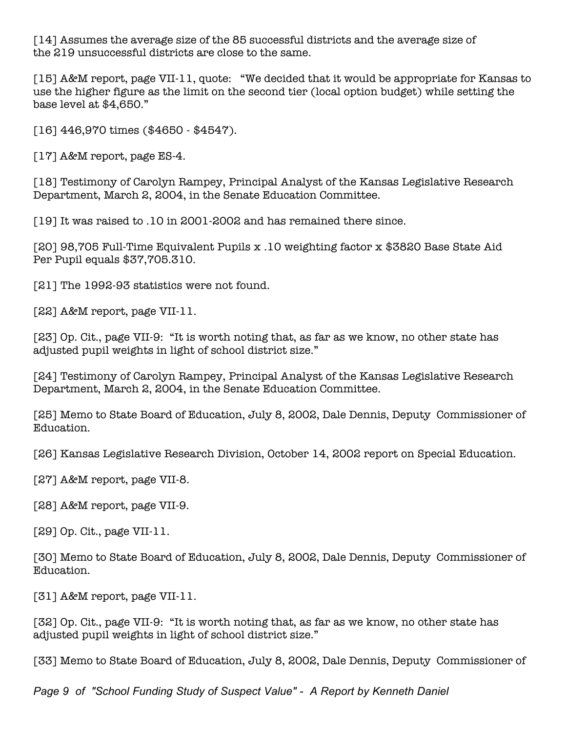[14] Assumes the average size of the 85 successful districts and the average size of the 219 unsuccessful districts are close to the same.

[15] A&M report, page VII-11, quote: "We decided that it would be appropriate for Kansas to use the higher figure as the limit on the second tier (local option budget) while setting the base level at \$4,650."

[16] 446,970 times (\$4650 - \$4547).

[17] A&M report, page ES-4.

[18] Testimony of Carolyn Rampey, Principal Analyst of the Kansas Legislative Research Department, March 2, 2004, in the Senate Education Committee.

[19] It was raised to .10 in 2001-2002 and has remained there since.

[20] 98,705 Full-Time Equivalent Pupils x .10 weighting factor x \$3820 Base State Aid Per Pupil equals \$37,705.310.

[21] The 1992-93 statistics were not found.

[22] A&M report, page VII-11.

[23] Op. Cit., page VII-9: "It is worth noting that, as far as we know, no other state has adjusted pupil weights in light of school district size."

[24] Testimony of Carolyn Rampey, Principal Analyst of the Kansas Legislative Research Department, March 2, 2004, in the Senate Education Committee.

[25] Memo to State Board of Education, July 8, 2002, Dale Dennis, Deputy Commissioner of Education.

[26] Kansas Legislative Research Division, October 14, 2002 report on Special Education.

[27] A&M report, page VII-8.

[28] A&M report, page VII-9.

[29] Op. Cit., page VII-11.

[30] Memo to State Board of Education, July 8, 2002, Dale Dennis, Deputy Commissioner of Education.

[31] A&M report, page VII-11.

[32] Op. Cit., page VII-9: "It is worth noting that, as far as we know, no other state has adjusted pupil weights in light of school district size."

[33] Memo to State Board of Education, July 8, 2002, Dale Dennis, Deputy Commissioner of

*Page 9 of "School Funding Study of Suspect Value" - A Report by Kenneth Daniel*